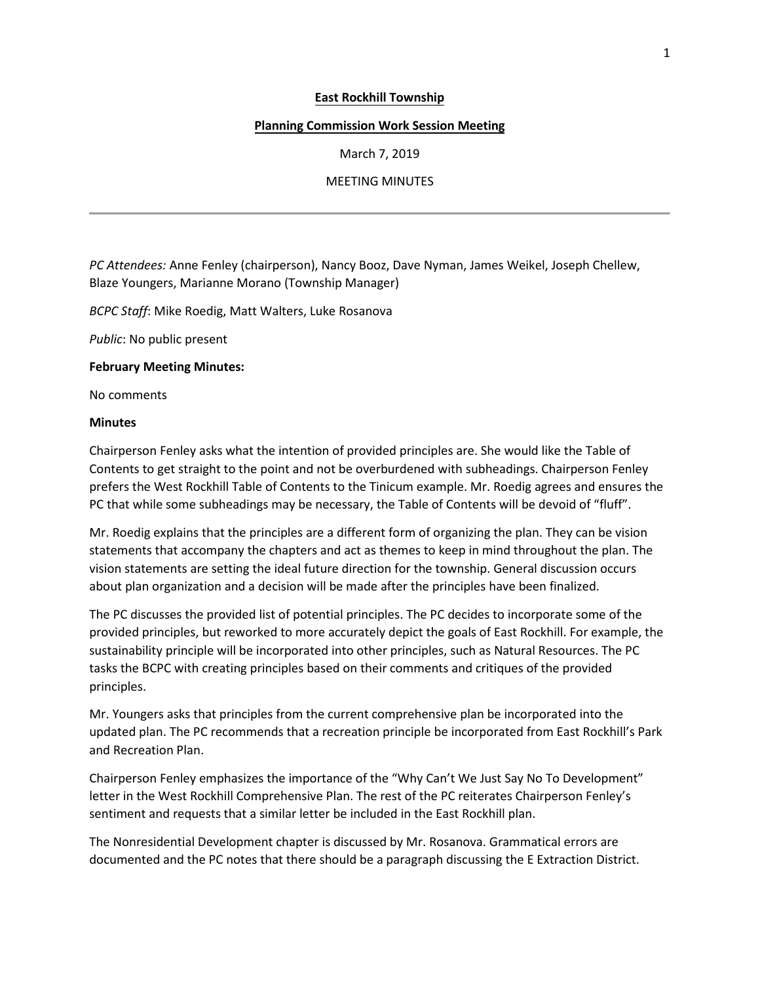## **East Rockhill Township**

## **Planning Commission Work Session Meeting**

March 7, 2019

## MEETING MINUTES

*PC Attendees:* Anne Fenley (chairperson), Nancy Booz, Dave Nyman, James Weikel, Joseph Chellew, Blaze Youngers, Marianne Morano (Township Manager)

*BCPC Staff*: Mike Roedig, Matt Walters, Luke Rosanova

*Public*: No public present

**February Meeting Minutes:**

No comments

## **Minutes**

Chairperson Fenley asks what the intention of provided principles are. She would like the Table of Contents to get straight to the point and not be overburdened with subheadings. Chairperson Fenley prefers the West Rockhill Table of Contents to the Tinicum example. Mr. Roedig agrees and ensures the PC that while some subheadings may be necessary, the Table of Contents will be devoid of "fluff".

Mr. Roedig explains that the principles are a different form of organizing the plan. They can be vision statements that accompany the chapters and act as themes to keep in mind throughout the plan. The vision statements are setting the ideal future direction for the township. General discussion occurs about plan organization and a decision will be made after the principles have been finalized.

The PC discusses the provided list of potential principles. The PC decides to incorporate some of the provided principles, but reworked to more accurately depict the goals of East Rockhill. For example, the sustainability principle will be incorporated into other principles, such as Natural Resources. The PC tasks the BCPC with creating principles based on their comments and critiques of the provided principles.

Mr. Youngers asks that principles from the current comprehensive plan be incorporated into the updated plan. The PC recommends that a recreation principle be incorporated from East Rockhill's Park and Recreation Plan.

Chairperson Fenley emphasizes the importance of the "Why Can't We Just Say No To Development" letter in the West Rockhill Comprehensive Plan. The rest of the PC reiterates Chairperson Fenley's sentiment and requests that a similar letter be included in the East Rockhill plan.

The Nonresidential Development chapter is discussed by Mr. Rosanova. Grammatical errors are documented and the PC notes that there should be a paragraph discussing the E Extraction District.